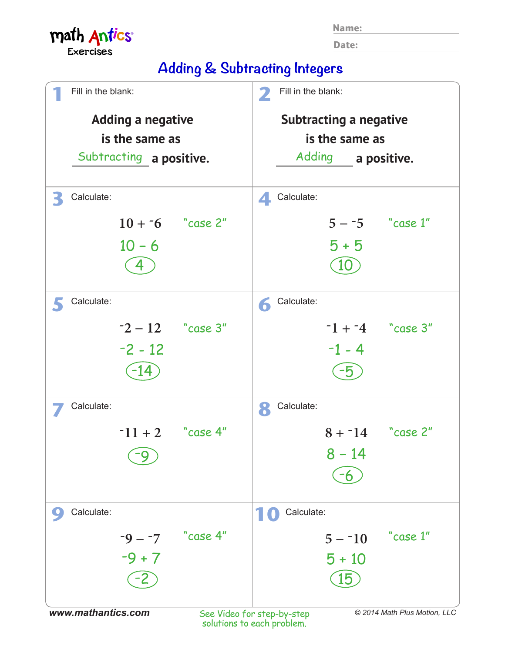|  |  | ٠ |  |
|--|--|---|--|
|  |  |   |  |

**Date:**

## math Antics® **Exercises**

**Adding & Subtracting Integers**

| Fill in the blank:       | Fill in the blank:<br>2                                    |  |
|--------------------------|------------------------------------------------------------|--|
| <b>Adding a negative</b> | <b>Subtracting a negative</b>                              |  |
| is the same as           | is the same as                                             |  |
| Subtracting a positive.  | Adding a positive.                                         |  |
|                          |                                                            |  |
| Calculate:<br>€          | Calculate:<br>4.                                           |  |
| $10 + 5$ "case 2"        | $5 - 5$ "case 1"                                           |  |
| $10 - 6$                 | $5 + 5$                                                    |  |
|                          | 10                                                         |  |
|                          |                                                            |  |
| Calculate:               | Calculate:<br>6                                            |  |
| $-2 - 12$ "case 3"       | $-1 + -4$ "case 3"                                         |  |
| $-2 - 12$                | $-1 - 4$                                                   |  |
|                          |                                                            |  |
| -14                      | -5                                                         |  |
| Calculate:               | Calculate:<br>8                                            |  |
| $-11 + 2$ case 4"        | "case 2"<br>$8 + 14$                                       |  |
|                          | $8 - 14$                                                   |  |
|                          |                                                            |  |
|                          |                                                            |  |
| Calculate:               | Calculate:                                                 |  |
| "case 4"<br>$-9 - -7$    | "case 1"<br>$5 - 10$                                       |  |
| $-9 + 7$                 | $5 + 10$                                                   |  |
|                          | 15                                                         |  |
|                          |                                                            |  |
| www.mathantics.com       | © 2014 Math Plus Motion, LLC<br>See Video for step-by-step |  |

See Video for step-by-step solutions to each problem.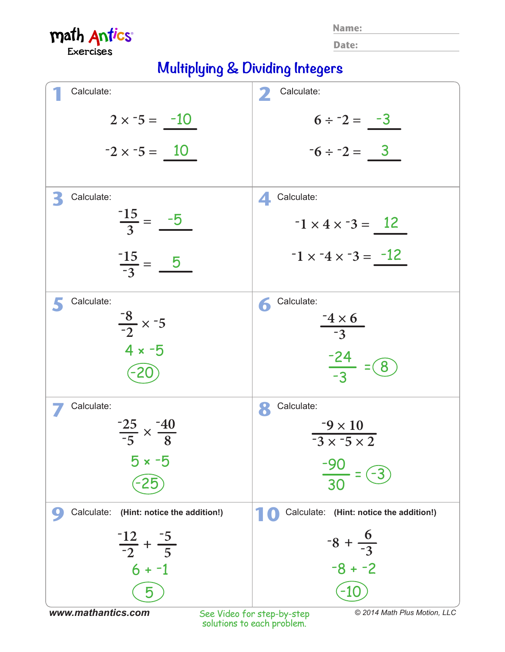**Name:**

**Date:**

math Antics® **Exercises** 

## **Multiplying & Dividing Integers**

| Calculate:                                              | Calculate:<br>$\mathbf{Z}$                           |
|---------------------------------------------------------|------------------------------------------------------|
| $2 \times -5 = -10$                                     | $6 \div 2 = -3$                                      |
| $-2 \times -5 = 10$                                     | $-6 \div -2 = \underline{3}$                         |
| Calculate:<br>B                                         | Calculate:<br>4.                                     |
| $\frac{-15}{3} = \frac{-5}{3}$                          | $-1 \times 4 \times -3 = 12$                         |
| $\frac{-15}{-3} = \underline{\qquad 5}$                 | $-1 \times -4 \times -3 = -12$                       |
| Calculate:                                              | Calculate:<br>6                                      |
| $\frac{-8}{-2} \times -5$                               | $\frac{-4\times6}{-3}$                               |
| $4 \times -5$<br>$-20$                                  | $\frac{-24}{-3}$<br>8                                |
| Calculate:                                              | Calculate:<br>8                                      |
| $\frac{-25}{-5} \times \frac{-40}{8}$                   | $-9 \times 10$<br>$\overline{-3 \times -5 \times 2}$ |
| $5 \times -5$                                           | $\frac{-90}{30}$                                     |
| Calculate: (Hint: notice the addition!)<br>$\mathbf{C}$ | Calculate: (Hint: notice the addition!)              |
| $\frac{-12}{-2} + \frac{-5}{5}$                         | $-8 + \frac{6}{-3}$                                  |
| $6 + -1$                                                | $-8 + -2$                                            |
| 5                                                       |                                                      |

See Video for step-by-step solutions to each problem. *www.mathantics.com © 2014 Math Plus Motion, LLC*